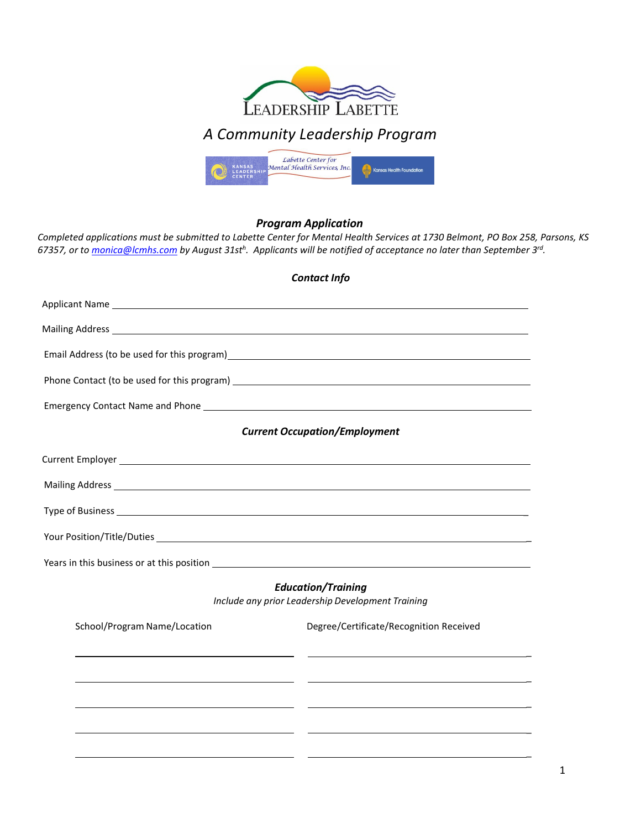

# *A Community Leadership Program*



## *Program Application*

*Completed applications must be submitted to Labette Center for Mental Health Services at 1730 Belmont, PO Box 258, Parsons, KS 67357, or t[o monica@lcmhs.com](mailto:monica@lcmhs.com) by August 31sth . Applicants will be notified of acceptance no later than September 3rd.*

|                              | <b>Contact Info</b>                                                                                                                                                                                                            |
|------------------------------|--------------------------------------------------------------------------------------------------------------------------------------------------------------------------------------------------------------------------------|
|                              |                                                                                                                                                                                                                                |
|                              |                                                                                                                                                                                                                                |
|                              |                                                                                                                                                                                                                                |
|                              |                                                                                                                                                                                                                                |
|                              |                                                                                                                                                                                                                                |
|                              | <b>Current Occupation/Employment</b>                                                                                                                                                                                           |
|                              |                                                                                                                                                                                                                                |
|                              |                                                                                                                                                                                                                                |
|                              |                                                                                                                                                                                                                                |
|                              |                                                                                                                                                                                                                                |
|                              | Years in this business or at this position example and the set of the set of the set of the set of the set of the set of the set of the set of the set of the set of the set of the set of the set of the set of the set of th |
|                              | <b>Education/Training</b><br>Include any prior Leadership Development Training                                                                                                                                                 |
| School/Program Name/Location | Degree/Certificate/Recognition Received                                                                                                                                                                                        |
|                              |                                                                                                                                                                                                                                |
|                              |                                                                                                                                                                                                                                |
|                              |                                                                                                                                                                                                                                |
|                              |                                                                                                                                                                                                                                |
|                              |                                                                                                                                                                                                                                |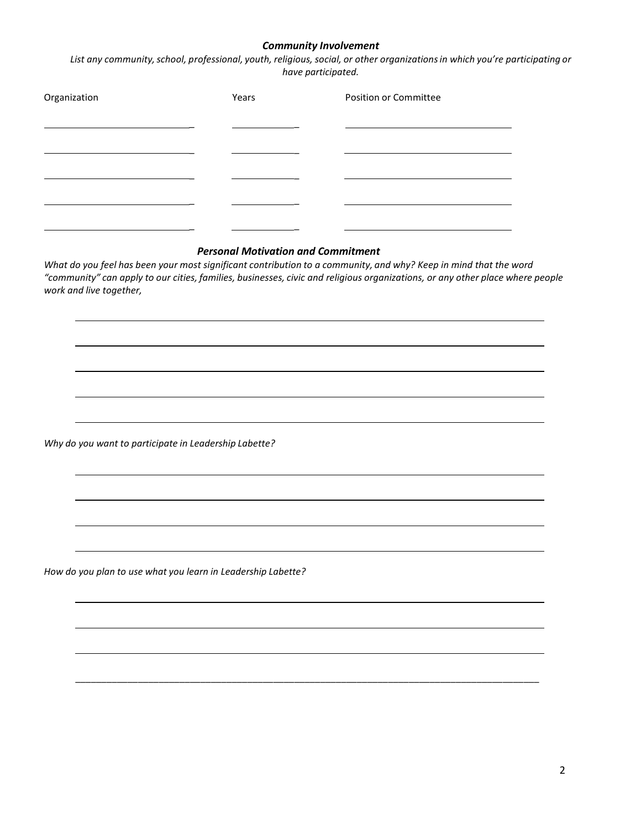### *Community Involvement*

*List any community,school, professional, youth, religious, social, or other organizationsin which you're participating or have participated.*

| Organization | Years | Position or Committee |
|--------------|-------|-----------------------|
|              |       |                       |
|              |       |                       |
|              |       |                       |
|              |       |                       |
|              |       |                       |

#### *Personal Motivation and Commitment*

What do you feel has been your most significant contribution to a community, and why? Keep in mind that the word "community" can apply to our cities, families, businesses, civic and religious organizations, or any other place where people *work and live together,*

\_\_\_\_\_\_\_\_\_\_\_\_\_\_\_\_\_\_\_\_\_\_\_\_\_\_\_\_\_\_\_\_\_\_\_\_\_\_\_\_\_\_\_\_\_\_\_\_\_\_\_\_\_\_\_\_\_\_\_\_\_\_\_\_\_\_\_\_\_\_\_\_\_\_\_\_\_\_\_\_\_\_\_\_\_\_\_\_\_

*Why do you want to participate in Leadership Labette?*

*How do you plan to use what you learn in Leadership Labette?*